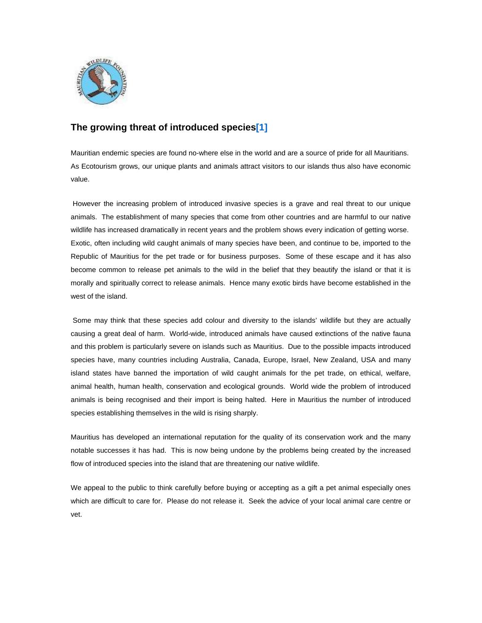

# **The growing threat of introduced specie[s\[1\]](http://www.mauritian-wildlife.org/admin/application/index.php#_ftn1)**

Mauritian endemic species are found no-where else in the world and are a source of pride for all Mauritians. As Ecotourism grows, our unique plants and animals attract visitors to our islands thus also have economic value.

 However the increasing problem of introduced invasive species is a grave and real threat to our unique animals. The establishment of many species that come from other countries and are harmful to our native wildlife has increased dramatically in recent years and the problem shows every indication of getting worse. Exotic, often including wild caught animals of many species have been, and continue to be, imported to the Republic of Mauritius for the pet trade or for business purposes. Some of these escape and it has also become common to release pet animals to the wild in the belief that they beautify the island or that it is morally and spiritually correct to release animals. Hence many exotic birds have become established in the west of the island.

 Some may think that these species add colour and diversity to the islands' wildlife but they are actually causing a great deal of harm. World-wide, introduced animals have caused extinctions of the native fauna and this problem is particularly severe on islands such as Mauritius. Due to the possible impacts introduced species have, many countries including Australia, Canada, Europe, Israel, New Zealand, USA and many island states have banned the importation of wild caught animals for the pet trade, on ethical, welfare, animal health, human health, conservation and ecological grounds. World wide the problem of introduced animals is being recognised and their import is being halted. Here in Mauritius the number of introduced species establishing themselves in the wild is rising sharply.

Mauritius has developed an international reputation for the quality of its conservation work and the many notable successes it has had. This is now being undone by the problems being created by the increased flow of introduced species into the island that are threatening our native wildlife.

We appeal to the public to think carefully before buying or accepting as a gift a pet animal especially ones which are difficult to care for. Please do not release it. Seek the advice of your local animal care centre or vet.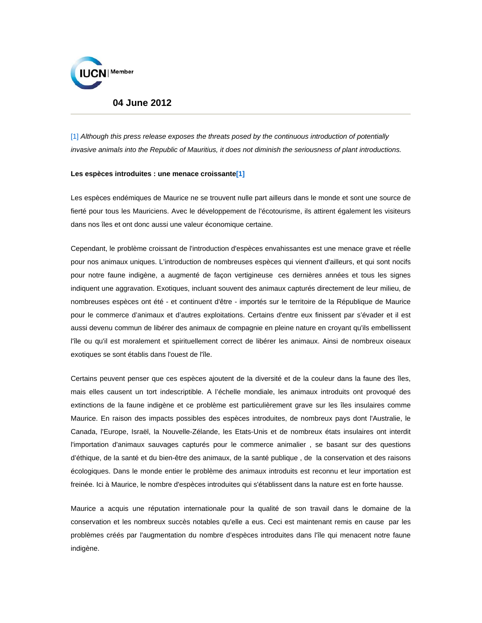

# **04 June 2012**

[\[1\]](http://www.mauritian-wildlife.org/admin/application/index.php#_ftnref1) *Although this press release exposes the threats posed by the continuous introduction of potentially invasive animals into the Republic of Mauritius, it does not diminish the seriousness of plant introductions.*

#### **Les espèces introduites : une menace croissant[e\[1\]](http://www.mauritian-wildlife.org/admin/application/index.php#_ftn1)**

Les espèces endémiques de Maurice ne se trouvent nulle part ailleurs dans le monde et sont une source de fierté pour tous les Mauriciens. Avec le développement de l'écotourisme, ils attirent également les visiteurs dans nos îles et ont donc aussi une valeur économique certaine.

Cependant, le problème croissant de l'introduction d'espèces envahissantes est une menace grave et réelle pour nos animaux uniques. L'introduction de nombreuses espèces qui viennent d'ailleurs, et qui sont nocifs pour notre faune indigène, a augmenté de façon vertigineuse ces dernières années et tous les signes indiquent une aggravation. Exotiques, incluant souvent des animaux capturés directement de leur milieu, de nombreuses espèces ont été - et continuent d'être - importés sur le territoire de la République de Maurice pour le commerce d'animaux et d'autres exploitations. Certains d'entre eux finissent par s'évader et il est aussi devenu commun de libérer des animaux de compagnie en pleine nature en croyant qu'ils embellissent l'île ou qu'il est moralement et spirituellement correct de libérer les animaux. Ainsi de nombreux oiseaux exotiques se sont établis dans l'ouest de l'île.

Certains peuvent penser que ces espèces ajoutent de la diversité et de la couleur dans la faune des îles, mais elles causent un tort indescriptible. A l'échelle mondiale, les animaux introduits ont provoqué des extinctions de la faune indigène et ce problème est particulièrement grave sur les îles insulaires comme Maurice. En raison des impacts possibles des espèces introduites, de nombreux pays dont l'Australie, le Canada, l'Europe, Israël, la Nouvelle-Zélande, les Etats-Unis et de nombreux états insulaires ont interdit l'importation d'animaux sauvages capturés pour le commerce animalier , se basant sur des questions d'éthique, de la santé et du bien-être des animaux, de la santé publique , de la conservation et des raisons écologiques. Dans le monde entier le problème des animaux introduits est reconnu et leur importation est freinée. Ici à Maurice, le nombre d'espèces introduites qui s'établissent dans la nature est en forte hausse.

Maurice a acquis une réputation internationale pour la qualité de son travail dans le domaine de la conservation et les nombreux succès notables qu'elle a eus. Ceci est maintenant remis en cause par les problèmes créés par l'augmentation du nombre d'espèces introduites dans l'île qui menacent notre faune indigène.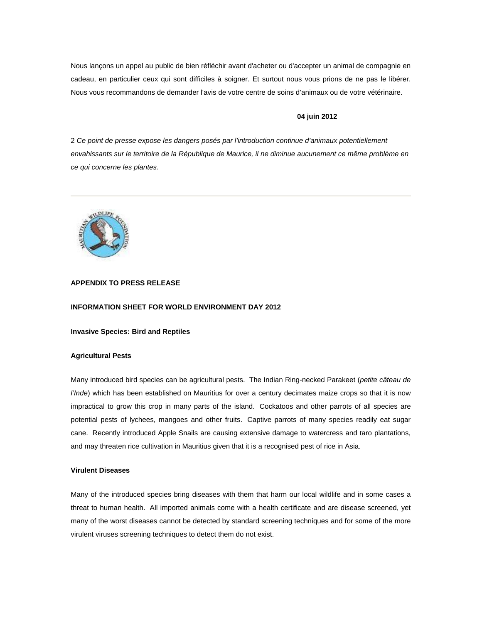Nous lançons un appel au public de bien réfléchir avant d'acheter ou d'accepter un animal de compagnie en cadeau, en particulier ceux qui sont difficiles à soigner. Et surtout nous vous prions de ne pas le libérer. Nous vous recommandons de demander l'avis de votre centre de soins d'animaux ou de votre vétérinaire.

### **04 juin 2012**

2 *Ce point de presse expose les dangers posés par l'introduction continue d'animaux potentiellement envahissants sur le territoire de la République de Maurice, il ne diminue aucunement ce même problème en ce qui concerne les plantes.*



# **APPENDIX TO PRESS RELEASE**

# **INFORMATION SHEET FOR WORLD ENVIRONMENT DAY 2012**

**Invasive Species: Bird and Reptiles**

#### **Agricultural Pests**

Many introduced bird species can be agricultural pests. The Indian Ring-necked Parakeet (*petite câteau de l'Inde*) which has been established on Mauritius for over a century decimates maize crops so that it is now impractical to grow this crop in many parts of the island. Cockatoos and other parrots of all species are potential pests of lychees, mangoes and other fruits. Captive parrots of many species readily eat sugar cane. Recently introduced Apple Snails are causing extensive damage to watercress and taro plantations, and may threaten rice cultivation in Mauritius given that it is a recognised pest of rice in Asia.

# **Virulent Diseases**

Many of the introduced species bring diseases with them that harm our local wildlife and in some cases a threat to human health. All imported animals come with a health certificate and are disease screened, yet many of the worst diseases cannot be detected by standard screening techniques and for some of the more virulent viruses screening techniques to detect them do not exist.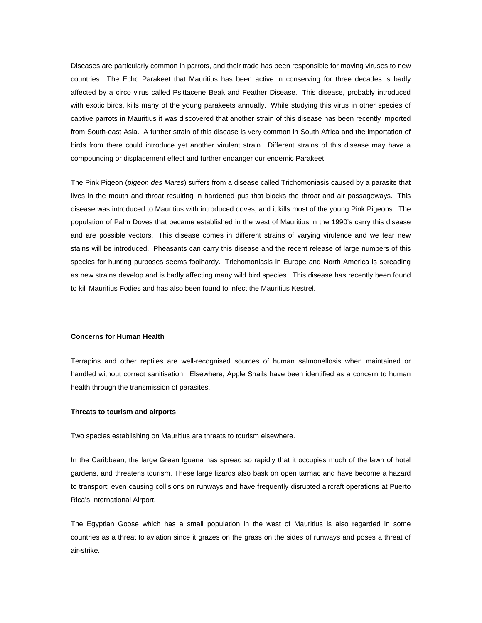Diseases are particularly common in parrots, and their trade has been responsible for moving viruses to new countries. The Echo Parakeet that Mauritius has been active in conserving for three decades is badly affected by a circo virus called Psittacene Beak and Feather Disease. This disease, probably introduced with exotic birds, kills many of the young parakeets annually. While studying this virus in other species of captive parrots in Mauritius it was discovered that another strain of this disease has been recently imported from South-east Asia. A further strain of this disease is very common in South Africa and the importation of birds from there could introduce yet another virulent strain. Different strains of this disease may have a compounding or displacement effect and further endanger our endemic Parakeet.

The Pink Pigeon (*pigeon des Mares*) suffers from a disease called Trichomoniasis caused by a parasite that lives in the mouth and throat resulting in hardened pus that blocks the throat and air passageways. This disease was introduced to Mauritius with introduced doves, and it kills most of the young Pink Pigeons. The population of Palm Doves that became established in the west of Mauritius in the 1990's carry this disease and are possible vectors. This disease comes in different strains of varying virulence and we fear new stains will be introduced. Pheasants can carry this disease and the recent release of large numbers of this species for hunting purposes seems foolhardy. Trichomoniasis in Europe and North America is spreading as new strains develop and is badly affecting many wild bird species. This disease has recently been found to kill Mauritius Fodies and has also been found to infect the Mauritius Kestrel.

# **Concerns for Human Health**

Terrapins and other reptiles are well-recognised sources of human salmonellosis when maintained or handled without correct sanitisation. Elsewhere, Apple Snails have been identified as a concern to human health through the transmission of parasites.

#### **Threats to tourism and airports**

Two species establishing on Mauritius are threats to tourism elsewhere.

In the Caribbean, the large Green Iguana has spread so rapidly that it occupies much of the lawn of hotel gardens, and threatens tourism. These large lizards also bask on open tarmac and have become a hazard to transport; even causing collisions on runways and have frequently disrupted aircraft operations at Puerto Rica's International Airport.

The Egyptian Goose which has a small population in the west of Mauritius is also regarded in some countries as a threat to aviation since it grazes on the grass on the sides of runways and poses a threat of air-strike.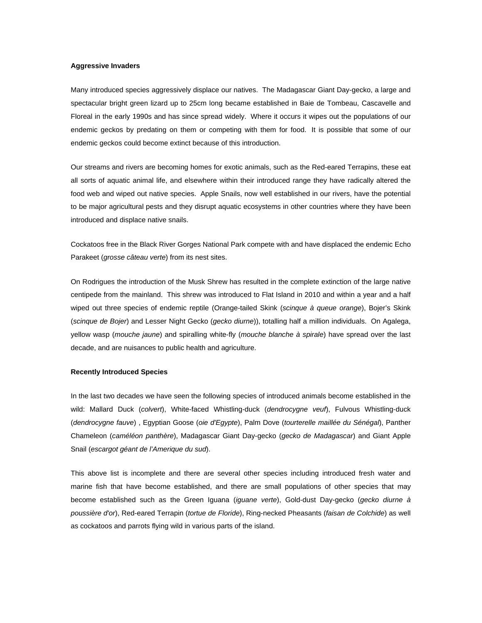#### **Aggressive Invaders**

Many introduced species aggressively displace our natives. The Madagascar Giant Day-gecko, a large and spectacular bright green lizard up to 25cm long became established in Baie de Tombeau, Cascavelle and Floreal in the early 1990s and has since spread widely. Where it occurs it wipes out the populations of our endemic geckos by predating on them or competing with them for food. It is possible that some of our endemic geckos could become extinct because of this introduction.

Our streams and rivers are becoming homes for exotic animals, such as the Red-eared Terrapins, these eat all sorts of aquatic animal life, and elsewhere within their introduced range they have radically altered the food web and wiped out native species. Apple Snails, now well established in our rivers, have the potential to be major agricultural pests and they disrupt aquatic ecosystems in other countries where they have been introduced and displace native snails.

Cockatoos free in the Black River Gorges National Park compete with and have displaced the endemic Echo Parakeet (*grosse câteau verte*) from its nest sites.

On Rodrigues the introduction of the Musk Shrew has resulted in the complete extinction of the large native centipede from the mainland. This shrew was introduced to Flat Island in 2010 and within a year and a half wiped out three species of endemic reptile (Orange-tailed Skink (*scinque à queue orange*), Bojer's Skink (*scinque de Bojer*) and Lesser Night Gecko (*gecko diurne*)), totalling half a million individuals. On Agalega, yellow wasp (*mouche jaune*) and spiralling white-fly (*mouche blanche à spirale*) have spread over the last decade, and are nuisances to public health and agriculture.

#### **Recently Introduced Species**

In the last two decades we have seen the following species of introduced animals become established in the wild: Mallard Duck (*colvert*), White-faced Whistling-duck (*dendrocygne veuf*), Fulvous Whistling-duck (*dendrocygne fauve*) , Egyptian Goose (*oie d'Egypte*), Palm Dove (*tourterelle maillée du Sénégal*), Panther Chameleon (*caméléon panthère*), Madagascar Giant Day-gecko (*gecko de Madagascar*) and Giant Apple Snail (*escargot géant de l'Amerique du sud*).

This above list is incomplete and there are several other species including introduced fresh water and marine fish that have become established, and there are small populations of other species that may become established such as the Green Iguana (*iguane verte*), Gold-dust Day-gecko (*gecko diurne à poussière d'or*), Red-eared Terrapin (*tortue de Floride*), Ring-necked Pheasants (*faisan de Colchide*) as well as cockatoos and parrots flying wild in various parts of the island.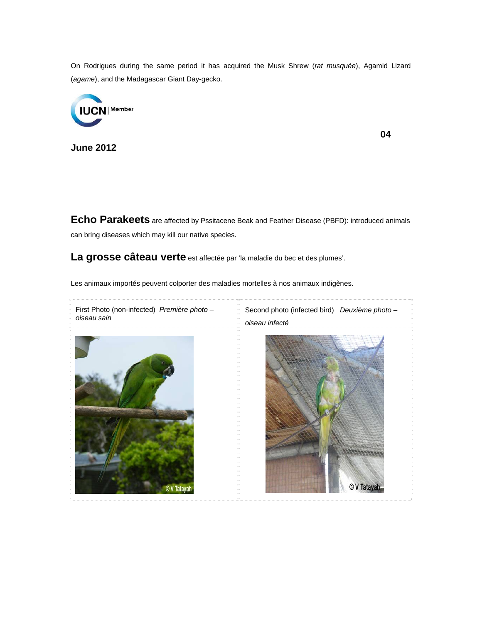On Rodrigues during the same period it has acquired the Musk Shrew (*rat musquée*), Agamid Lizard (*agame*), and the Madagascar Giant Day-gecko.



**June 2012**

**04** 

**Echo Parakeets** are affected by Pssitacene Beak and Feather Disease (PBFD): introduced animals can bring diseases which may kill our native species.

**La grosse câteau verte** est affectée par 'la maladie du bec et des plumes'.

Les animaux importés peuvent colporter des maladies mortelles à nos animaux indigènes.

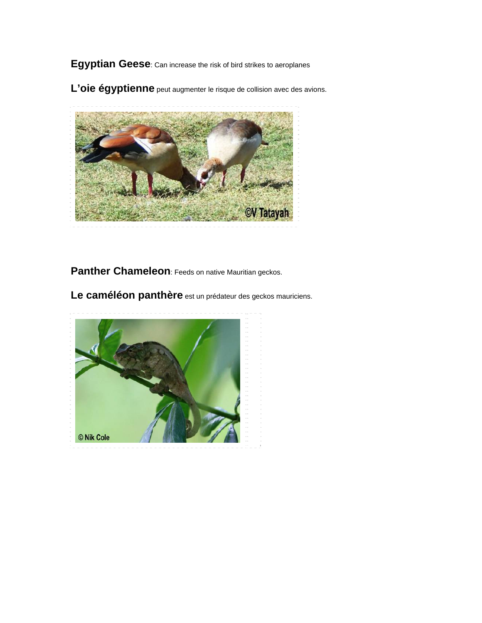**Egyptian Geese**: Can increase the risk of bird strikes to aeroplanes

L'oie égyptienne peut augmenter le risque de collision avec des avions.



Panther Chameleon: Feeds on native Mauritian geckos.

Le caméléon panthère est un prédateur des geckos mauriciens.

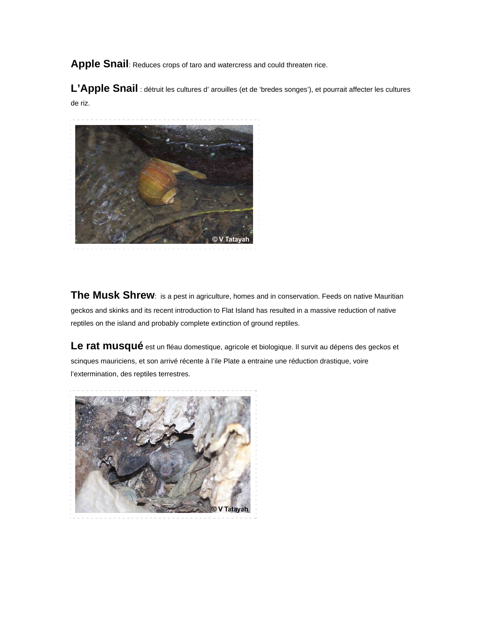**Apple Snail**: Reduces crops of taro and watercress and could threaten rice.

L'Apple Snail : détruit les cultures d' arouilles (et de 'bredes songes'), et pourrait affecter les cultures de riz.



**The Musk Shrew**: is a pest in agriculture, homes and in conservation. Feeds on native Mauritian geckos and skinks and its recent introduction to Flat Island has resulted in a massive reduction of native reptiles on the island and probably complete extinction of ground reptiles.

Le rat musqué est un fléau domestique, agricole et biologique. Il survit au dépens des geckos et scinques mauriciens, et son arrivé récente à l'ile Plate a entraine une réduction drastique, voire l'extermination, des reptiles terrestres.